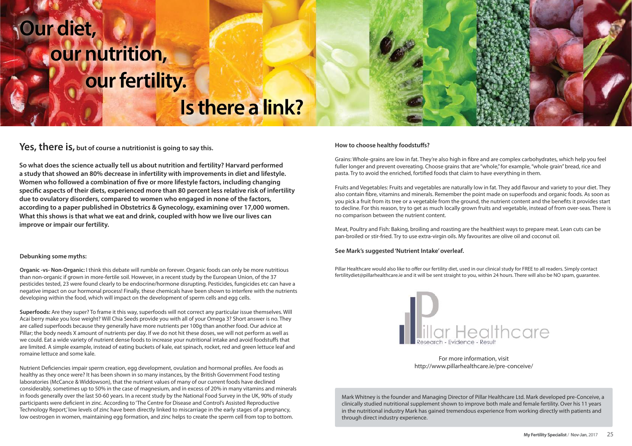# **Our diet,** *<u>dur</u>* nutrition,  **our fertility.**

# **Is there a link?**

### Yes, there is, but of course a nutritionist is going to say this.

**So what does the science actually tell us about nutrition and fertility? Harvard performed a study that showed an 80% decrease in infertility with improvements in diet and lifestyle.**  Women who followed a combination of five or more lifestyle factors, including changing specific aspects of their diets, experienced more than 80 percent less relative risk of infertility **due to ovulatory disorders, compared to women who engaged in none of the factors, according to a paper published in Obstetrics & Gynecology, examining over 17,000 women. What this shows is that what we eat and drink, coupled with how we live our lives can improve or impair our fertility.** 

#### **Debunking some myths:**

**Organic -vs- Non-Organic:** I think this debate will rumble on forever. Organic foods can only be more nutritious than non-organic if grown in more-fertile soil. However, in a recent study by the European Union, of the 37 pesticides tested, 23 were found clearly to be endocrine/hormone disrupting. Pesticides, fungicides etc can have a negative impact on our hormonal process! Finally, these chemicals have been shown to interfere with the nutrients developing within the food, which will impact on the development of sperm cells and egg cells.

**Superfoods:** Are they super? To frame it this way, superfoods will not correct any particular issue themselves. Will Acai berry make you lose weight? Will Chia Seeds provide you with all of your Omega 3? Short answer is no. They are called superfoods because they generally have more nutrients per 100g than another food. Our advice at Pillar; the body needs X amount of nutrients per day. If we do not hit these doses, we will not perform as well as we could. Eat a wide variety of nutrient dense foods to increase your nutritional intake and avoid foodstuffs that are limited. A simple example, instead of eating buckets of kale, eat spinach, rocket, red and green lettuce leaf and romaine lettuce and some kale.

Nutrient Deficiencies impair sperm creation, egg development, ovulation and hormonal profiles. Are foods as healthy as they once were? It has been shown in so many instances, by the British Government Food testing laboratories (McCance & Widdowson), that the nutrient values of many of our current foods have declined considerably, sometimes up to 50% in the case of magnesium, and in excess of 20% in many vitamins and minerals in foods generally over the last 50-60 years. In a recent study by the National Food Survey in the UK, 90% of study participants were deficient in zinc. According to 'The Centre for Disease and Control's Assisted Reproductive Technology Report,' low levels of zinc have been directly linked to miscarriage in the early stages of a pregnancy, low oestrogen in women, maintaining egg formation, and zinc helps to create the sperm cell from top to bottom.

#### **How to choose healthy foodstuffs?**

Grains: Whole-grains are low in fat. They're also high in fibre and are complex carbohydrates, which help you feel fuller longer and prevent overeating. Choose grains that are "whole," for example, "whole grain" bread, rice and pasta. Try to avoid the enriched, fortified foods that claim to have everything in them.

Fruits and Vegetables: Fruits and vegetables are naturally low in fat. They add flavour and variety to your diet. They also contain fibre, vitamins and minerals. Remember the point made on superfoods and organic foods. As soon as you pick a fruit from its tree or a vegetable from the ground, the nutrient content and the benefits it provides start to decline. For this reason, try to get as much locally grown fruits and vegetable, instead of from over-seas. There is no comparison between the nutrient content.

Meat, Poultry and Fish: Baking, broiling and roasting are the healthiest ways to prepare meat. Lean cuts can be pan-broiled or stir-fried. Try to use extra-virgin oils. My favourites are olive oil and coconut oil.

#### **See Mark's suggested 'Nutrient Intake' overleaf.**

Pillar Healthcare would also like to offer our fertility diet, used in our clinical study for FREE to all readers. Simply contact fertilitydiet@pillarhealthcare.ie and it will be sent straight to you, within 24 hours. There will also be NO spam, guarantee.



For more information, visit http://www.pillarhealthcare.ie/pre-conceive/

Mark Whitney is the founder and Managing Director of Pillar Healthcare Ltd. Mark developed pre-Conceive, a clinically studied nutritional supplement shown to improve both male and female fertility. Over his 11 years in the nutritional industry Mark has gained tremendous experience from working directly with patients and through direct industry experience.